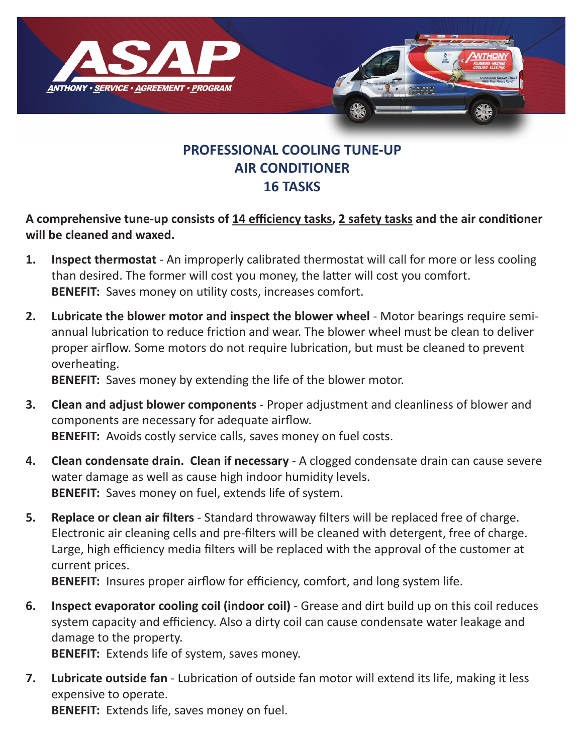

## **PROFESSIONAL COOLING TUNE-UP AIR CONDITIONER 16 TASKS**

**A comprehensive tune-up consists of 14 efficiency tasks, 2 safety tasks and the air conditioner will be cleaned and waxed.**

- **1. Inspect thermostat** An improperly calibrated thermostat will call for more or less cooling than desired. The former will cost you money, the latter will cost you comfort. **BENEFIT:** Saves money on utility costs, increases comfort.
- **2. Lubricate the blower motor and inspect the blower wheel** Motor bearings require semiannual lubrication to reduce friction and wear. The blower wheel must be clean to deliver proper airflow. Some motors do not require lubrication, but must be cleaned to prevent overheating.

**BENEFIT:** Saves money by extending the life of the blower motor.

- **3. Clean and adjust blower components** Proper adjustment and cleanliness of blower and components are necessary for adequate airflow. **BENEFIT:** Avoids costly service calls, saves money on fuel costs.
- **4. Clean condensate drain. Clean if necessary** A clogged condensate drain can cause severe water damage as well as cause high indoor humidity levels. **BENEFIT:** Saves money on fuel, extends life of system.
- **5. Replace or clean air filters** Standard throwaway filters will be replaced free of charge. Electronic air cleaning cells and pre-filters will be cleaned with detergent, free of charge. Large, high efficiency media filters will be replaced with the approval of the customer at current prices.

**BENEFIT:** Insures proper airflow for efficiency, comfort, and long system life.

**6. Inspect evaporator cooling coil (indoor coil)** - Grease and dirt build up on this coil reduces system capacity and efficiency. Also a dirty coil can cause condensate water leakage and damage to the property.

**BENEFIT:** Extends life of system, saves money.

**7. Lubricate outside fan** - Lubrication of outside fan motor will extend its life, making it less expensive to operate.

**BENEFIT:** Extends life, saves money on fuel.